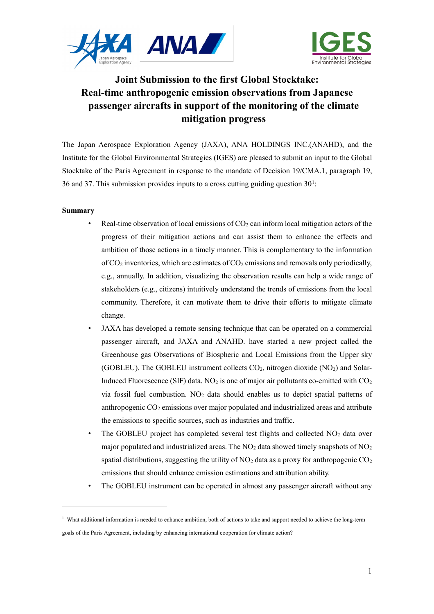



# **Joint Submission to the first Global Stocktake: Real-time anthropogenic emission observations from Japanese passenger aircrafts in support of the monitoring of the climate mitigation progress**

The Japan Aerospace Exploration Agency (JAXA), ANA HOLDINGS INC.(ANAHD), and the Institute for the Global Environmental Strategies (IGES) are pleased to submit an input to the Global Stocktake of the Paris Agreement in response to the mandate of Decision 19/CMA.1, paragraph 19, 36 and 37. This submission provides inputs to a cross cutting guiding question  $30<sup>1</sup>$  $30<sup>1</sup>$  $30<sup>1</sup>$ :

## **Summary**

-

- Real-time observation of local emissions of  $CO<sub>2</sub>$  can inform local mitigation actors of the progress of their mitigation actions and can assist them to enhance the effects and ambition of those actions in a timely manner. This is complementary to the information of  $CO<sub>2</sub>$  inventories, which are estimates of  $CO<sub>2</sub>$  emissions and removals only periodically, e.g., annually. In addition, visualizing the observation results can help a wide range of stakeholders (e.g., citizens) intuitively understand the trends of emissions from the local community. Therefore, it can motivate them to drive their efforts to mitigate climate change.
- JAXA has developed a remote sensing technique that can be operated on a commercial passenger aircraft, and JAXA and ANAHD. have started a new project called the Greenhouse gas Observations of Biospheric and Local Emissions from the Upper sky (GOBLEU). The GOBLEU instrument collects  $CO<sub>2</sub>$ , nitrogen dioxide (NO<sub>2</sub>) and Solar-Induced Fluorescence (SIF) data.  $NO<sub>2</sub>$  is one of major air pollutants co-emitted with  $CO<sub>2</sub>$ via fossil fuel combustion. NO2 data should enables us to depict spatial patterns of anthropogenic  $CO<sub>2</sub>$  emissions over major populated and industrialized areas and attribute the emissions to specific sources, such as industries and traffic.
- The GOBLEU project has completed several test flights and collected  $NO<sub>2</sub>$  data over major populated and industrialized areas. The  $NO<sub>2</sub>$  data showed timely snapshots of  $NO<sub>2</sub>$ spatial distributions, suggesting the utility of  $NO<sub>2</sub>$  data as a proxy for anthropogenic  $CO<sub>2</sub>$ emissions that should enhance emission estimations and attribution ability.
- The GOBLEU instrument can be operated in almost any passenger aircraft without any

<span id="page-0-0"></span><sup>&</sup>lt;sup>1</sup> What additional information is needed to enhance ambition, both of actions to take and support needed to achieve the long-term goals of the Paris Agreement, including by enhancing international cooperation for climate action?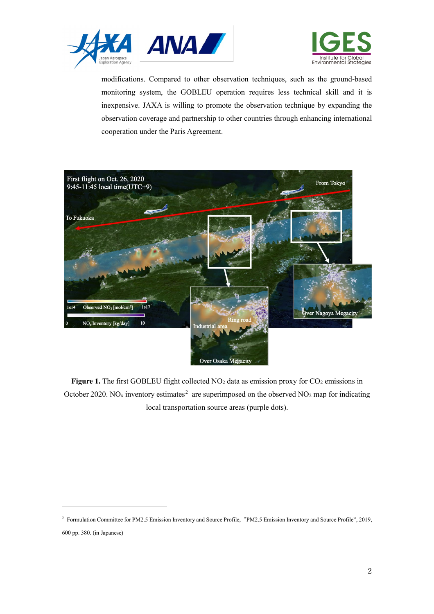



modifications. Compared to other observation techniques, such as the ground-based monitoring system, the GOBLEU operation requires less technical skill and it is inexpensive. JAXA is willing to promote the observation technique by expanding the observation coverage and partnership to other countries through enhancing international cooperation under the Paris Agreement.



Figure 1. The first GOBLEU flight collected NO<sub>2</sub> data as emission proxy for CO<sub>2</sub> emissions in October [2](#page-1-0)020. NO<sub>x</sub> inventory estimates<sup>2</sup> are superimposed on the observed NO<sub>2</sub> map for indicating local transportation source areas (purple dots).

<span id="page-1-0"></span><sup>2</sup> Formulation Committee for PM2.5 Emission Inventory and Source Profile, "PM2.5 Emission Inventory and Source Profile", 2019, 600 pp. 380. (in Japanese)

-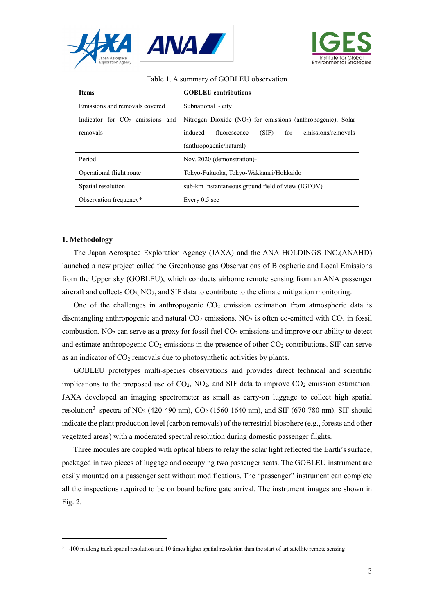



| <b>Items</b>                                | <b>GOBLEU</b> contributions                                              |
|---------------------------------------------|--------------------------------------------------------------------------|
| Emissions and removals covered              | Subnational $\sim$ city                                                  |
| Indicator for CO <sub>2</sub> emissions and | Nitrogen Dioxide (NO <sub>2</sub> ) for emissions (anthropogenic); Solar |
| removals                                    | emissions/removals<br>induced<br>fluorescence<br>$(SIF)$ for             |
|                                             | (anthropogenic/natural)                                                  |
| Period                                      | Nov. 2020 (demonstration)-                                               |
| Operational flight route                    | Tokyo-Fukuoka, Tokyo-Wakkanai/Hokkaido                                   |
| Spatial resolution                          | sub-km Instantaneous ground field of view (IGFOV)                        |
| Observation frequency*                      | Every $0.5$ sec                                                          |

#### Table 1. A summary of GOBLEU observation

#### **1. Methodology**

The Japan Aerospace Exploration Agency (JAXA) and the ANA HOLDINGS INC.(ANAHD) launched a new project called the Greenhouse gas Observations of Biospheric and Local Emissions from the Upper sky (GOBLEU), which conducts airborne remote sensing from an ANA passenger aircraft and collects  $CO<sub>2</sub>$ , NO<sub>2</sub>, and SIF data to contribute to the climate mitigation monitoring.

One of the challenges in anthropogenic  $CO<sub>2</sub>$  emission estimation from atmospheric data is disentangling anthropogenic and natural  $CO<sub>2</sub>$  emissions. NO<sub>2</sub> is often co-emitted with  $CO<sub>2</sub>$  in fossil combustion. NO<sub>2</sub> can serve as a proxy for fossil fuel  $CO<sub>2</sub>$  emissions and improve our ability to detect and estimate anthropogenic  $CO<sub>2</sub>$  emissions in the presence of other  $CO<sub>2</sub>$  contributions. SIF can serve as an indicator of  $CO<sub>2</sub>$  removals due to photosynthetic activities by plants.

GOBLEU prototypes multi-species observations and provides direct technical and scientific implications to the proposed use of  $CO<sub>2</sub>$ , NO<sub>2</sub>, and SIF data to improve  $CO<sub>2</sub>$  emission estimation. JAXA developed an imaging spectrometer as small as carry-on luggage to collect high spatial resolution<sup>[3](#page-2-0)</sup> spectra of NO<sub>2</sub> (420-490 nm), CO<sub>2</sub> (1560-1640 nm), and SIF (670-780 nm). SIF should indicate the plant production level (carbon removals) of the terrestrial biosphere (e.g., forests and other vegetated areas) with a moderated spectral resolution during domestic passenger flights.

Three modules are coupled with optical fibers to relay the solar light reflected the Earth's surface, packaged in two pieces of luggage and occupying two passenger seats. The GOBLEU instrument are easily mounted on a passenger seat without modifications. The "passenger" instrument can complete all the inspections required to be on board before gate arrival. The instrument images are shown in Fig. 2.

<span id="page-2-0"></span> $3 \sim 100$  m along track spatial resolution and 10 times higher spatial resolution than the start of art satellite remote sensing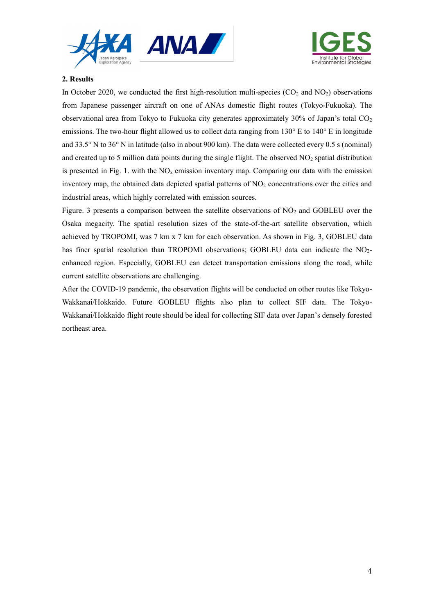



# **2. Results**

In October 2020, we conducted the first high-resolution multi-species  $(CO<sub>2</sub>$  and  $NO<sub>2</sub>)$  observations from Japanese passenger aircraft on one of ANAs domestic flight routes (Tokyo-Fukuoka). The observational area from Tokyo to Fukuoka city generates approximately  $30\%$  of Japan's total CO<sub>2</sub> emissions. The two-hour flight allowed us to collect data ranging from 130° E to 140° E in longitude and 33.5° N to 36° N in latitude (also in about 900 km). The data were collected every 0.5 s (nominal) and created up to 5 million data points during the single flight. The observed NO2 spatial distribution is presented in Fig. 1. with the  $NO<sub>x</sub>$  emission inventory map. Comparing our data with the emission inventory map, the obtained data depicted spatial patterns of  $NO<sub>2</sub>$  concentrations over the cities and industrial areas, which highly correlated with emission sources.

Figure. 3 presents a comparison between the satellite observations of  $NO<sub>2</sub>$  and GOBLEU over the Osaka megacity. The spatial resolution sizes of the state-of-the-art satellite observation, which achieved by TROPOMI, was 7 km x 7 km for each observation. As shown in Fig. 3, GOBLEU data has finer spatial resolution than TROPOMI observations; GOBLEU data can indicate the NO<sub>2</sub>enhanced region. Especially, GOBLEU can detect transportation emissions along the road, while current satellite observations are challenging.

After the COVID-19 pandemic, the observation flights will be conducted on other routes like Tokyo-Wakkanai/Hokkaido. Future GOBLEU flights also plan to collect SIF data. The Tokyo-Wakkanai/Hokkaido flight route should be ideal for collecting SIF data over Japan's densely forested northeast area.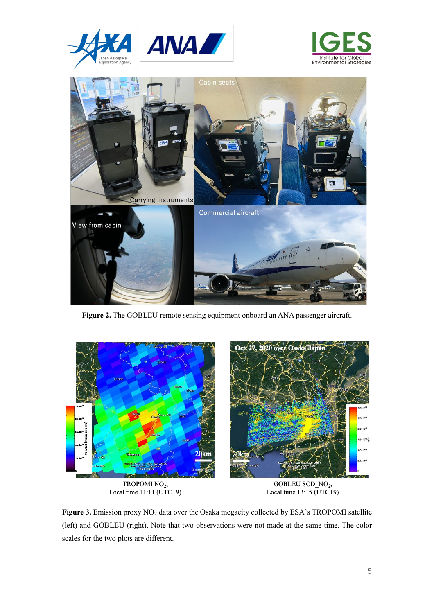





**Figure 2.** The GOBLEU remote sensing equipment onboard an ANA passenger aircraft.



 $TROPOMI NO<sub>2</sub>,  
Local time 11:11 (UTC+9)$ 

GOBLEU SCD\_NO2, Local time  $13:15$  (UTC+9)

Figure 3. Emission proxy NO<sub>2</sub> data over the Osaka megacity collected by ESA's TROPOMI satellite (left) and GOBLEU (right). Note that two observations were not made at the same time. The color scales for the two plots are different.